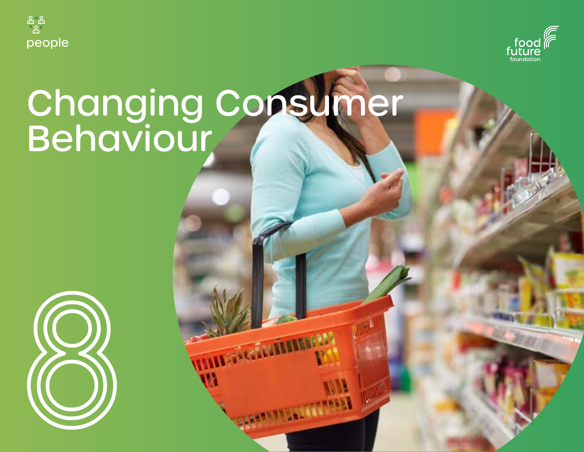



# Changing Consumer Behaviour

**REGISTERED** 

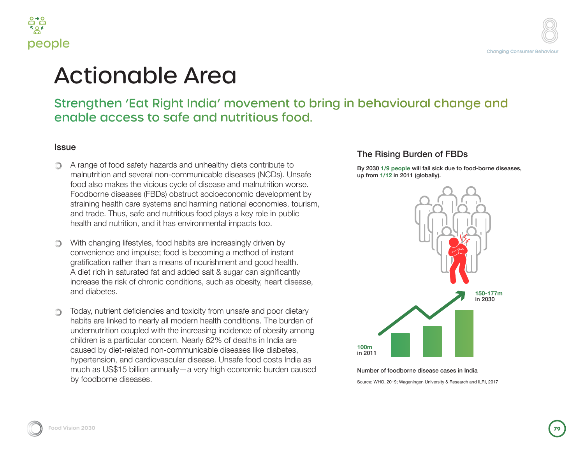



# Actionable Area

### Strengthen 'Eat Right India' movement to bring in behavioural change and enable access to safe and nutritious food.

#### **Issue**

- A range of food safety hazards and unhealthy diets contribute to malnutrition and several non-communicable diseases (NCDs). Unsafe food also makes the vicious cycle of disease and malnutrition worse. Foodborne diseases (FBDs) obstruct socioeconomic development by straining health care systems and harming national economies, tourism, and trade. Thus, safe and nutritious food plays a key role in public health and nutrition, and it has environmental impacts too.
- With changing lifestyles, food habits are increasingly driven by convenience and impulse; food is becoming a method of instant gratification rather than a means of nourishment and good health. A diet rich in saturated fat and added salt & sugar can significantly increase the risk of chronic conditions, such as obesity, heart disease, and diabetes.
- Today, nutrient deficiencies and toxicity from unsafe and poor dietary habits are linked to nearly all modern health conditions. The burden of undernutrition coupled with the increasing incidence of obesity among children is a particular concern. Nearly 62% of deaths in India are caused by diet-related non-communicable diseases like diabetes, hypertension, and cardiovascular disease. Unsafe food costs India as much as US\$15 billion annually—a very high economic burden caused by foodborne diseases.

#### The Rising Burden of FBDs

By 2030 **1/9 people** will fall sick due to food-borne diseases, up from **1/12** in 2011 (globally).



#### Number of foodborne disease cases in India

Source: WHO, 2019; Wageningen University & Research and ILRI, 2017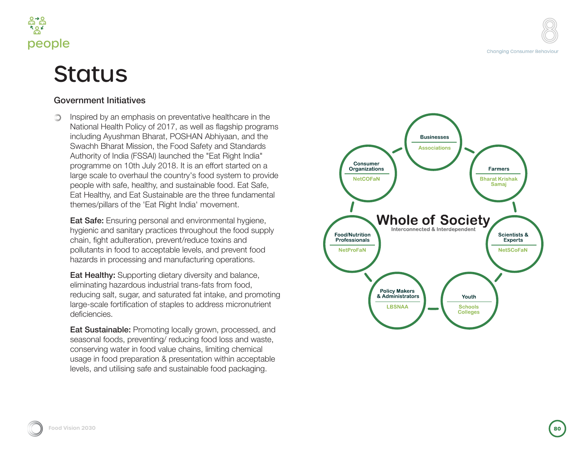

# **Status**

#### Government Initiatives

Inspired by an emphasis on preventative healthcare in the National Health Policy of 2017, as well as flagship programs including Ayushman Bharat, POSHAN Abhiyaan, and the Swachh Bharat Mission, the Food Safety and Standards Authority of India (FSSAI) launched the "Eat Right India" programme on 10th July 2018. It is an effort started on a large scale to overhaul the country's food system to provide people with safe, healthy, and sustainable food. Eat Safe, Eat Healthy, and Eat Sustainable are the three fundamental themes/pillars of the 'Eat Right India' movement.

**Eat Safe:** Ensuring personal and environmental hygiene, hygienic and sanitary practices throughout the food supply chain, fight adulteration, prevent/reduce toxins and pollutants in food to acceptable levels, and prevent food hazards in processing and manufacturing operations.

Eat Healthy: Supporting dietary diversity and balance, eliminating hazardous industrial trans-fats from food, reducing salt, sugar, and saturated fat intake, and promoting large-scale fortification of staples to address micronutrient deficiencies.

Eat Sustainable: Promoting locally grown, processed, and seasonal foods, preventing/ reducing food loss and waste, conserving water in food value chains, limiting chemical usage in food preparation & presentation within acceptable levels, and utilising safe and sustainable food packaging.

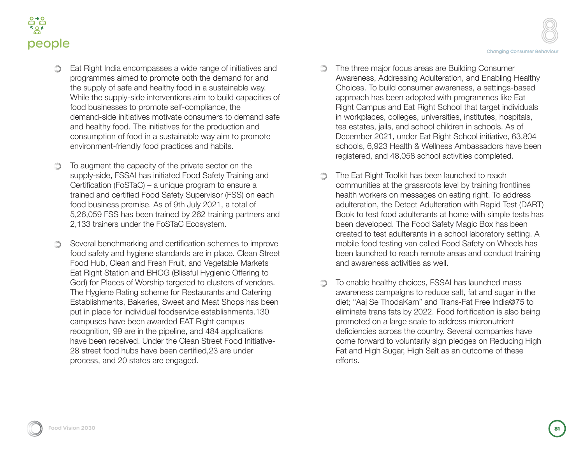

- Eat Right India encompasses a wide range of initiatives and programmes aimed to promote both the demand for and the supply of safe and healthy food in a sustainable way. While the supply-side interventions aim to build capacities of food businesses to promote self-compliance, the demand-side initiatives motivate consumers to demand safe and healthy food. The initiatives for the production and consumption of food in a sustainable way aim to promote environment-friendly food practices and habits.
- To augment the capacity of the private sector on the supply-side, FSSAI has initiated Food Safety Training and Certification (FoSTaC) – a unique program to ensure a trained and certified Food Safety Supervisor (FSS) on each food business premise. As of 9th July 2021, a total of 5,26,059 FSS has been trained by 262 training partners and 2,133 trainers under the FoSTaC Ecosystem.
- Several benchmarking and certification schemes to improve food safety and hygiene standards are in place. Clean Street Food Hub, Clean and Fresh Fruit, and Vegetable Markets Eat Right Station and BHOG (Blissful Hygienic Offering to God) for Places of Worship targeted to clusters of vendors. The Hygiene Rating scheme for Restaurants and Catering Establishments, Bakeries, Sweet and Meat Shops has been put in place for individual foodservice establishments.130 campuses have been awarded EAT Right campus recognition, 99 are in the pipeline, and 484 applications have been received. Under the Clean Street Food Initiative-28 street food hubs have been certified,23 are under process, and 20 states are engaged.
- **The three major focus areas are Building Consumer** Awareness, Addressing Adulteration, and Enabling Healthy Choices. To build consumer awareness, a settings-based approach has been adopted with programmes like Eat Right Campus and Eat Right School that target individuals in workplaces, colleges, universities, institutes, hospitals, tea estates, jails, and school children in schools. As of December 2021, under Eat Right School initiative, 63,804 schools, 6,923 Health & Wellness Ambassadors have been registered, and 48,058 school activities completed.
- The Eat Right Toolkit has been launched to reach ∩ communities at the grassroots level by training frontlines health workers on messages on eating right. To address adulteration, the Detect Adulteration with Rapid Test (DART) Book to test food adulterants at home with simple tests has been developed. The Food Safety Magic Box has been created to test adulterants in a school laboratory setting. A mobile food testing van called Food Safety on Wheels has been launched to reach remote areas and conduct training and awareness activities as well.
- To enable healthy choices, FSSAI has launched mass ∩ awareness campaigns to reduce salt, fat and sugar in the diet; "Aaj Se ThodaKam" and Trans-Fat Free India@75 to eliminate trans fats by 2022. Food fortification is also being promoted on a large scale to address micronutrient deficiencies across the country. Several companies have come forward to voluntarily sign pledges on Reducing High Fat and High Sugar, High Salt as an outcome of these efforts.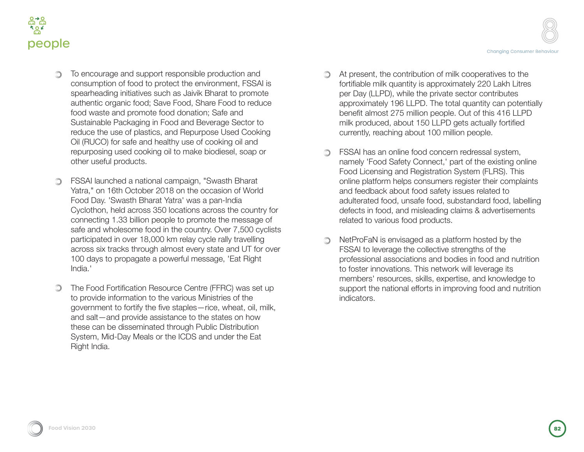



- To encourage and support responsible production and consumption of food to protect the environment, FSSAI is spearheading initiatives such as Jaivik Bharat to promote authentic organic food; Save Food, Share Food to reduce food waste and promote food donation; Safe and Sustainable Packaging in Food and Beverage Sector to reduce the use of plastics, and Repurpose Used Cooking Oil (RUCO) for safe and healthy use of cooking oil and repurposing used cooking oil to make biodiesel, soap or other useful products.
- FSSAI launched a national campaign, "Swasth Bharat Yatra," on 16th October 2018 on the occasion of World Food Day. 'Swasth Bharat Yatra' was a pan-India Cyclothon, held across 350 locations across the country for connecting 1.33 billion people to promote the message of safe and wholesome food in the country. Over 7,500 cyclists participated in over 18,000 km relay cycle rally travelling across six tracks through almost every state and UT for over 100 days to propagate a powerful message, 'Eat Right India.'
- The Food Fortification Resource Centre (FFRC) was set up  $\circledcirc$ to provide information to the various Ministries of the government to fortify the five staples—rice, wheat, oil, milk, and salt—and provide assistance to the states on how these can be disseminated through Public Distribution System, Mid-Day Meals or the ICDS and under the Eat Right India.
- At present, the contribution of milk cooperatives to the fortifiable milk quantity is approximately 220 Lakh Litres per Day (LLPD), while the private sector contributes approximately 196 LLPD. The total quantity can potentially benefit almost 275 million people. Out of this 416 LLPD milk produced, about 150 LLPD gets actually fortified currently, reaching about 100 million people.
- **SHET SESAI has an online food concern redressal system,** namely 'Food Safety Connect,' part of the existing online Food Licensing and Registration System (FLRS). This online platform helps consumers register their complaints and feedback about food safety issues related to adulterated food, unsafe food, substandard food, labelling defects in food, and misleading claims & advertisements related to various food products.
- NetProFaN is envisaged as a platform hosted by the  $\bigcirc$ FSSAI to leverage the collective strengths of the professional associations and bodies in food and nutrition to foster innovations. This network will leverage its members' resources, skills, expertise, and knowledge to support the national efforts in improving food and nutrition indicators.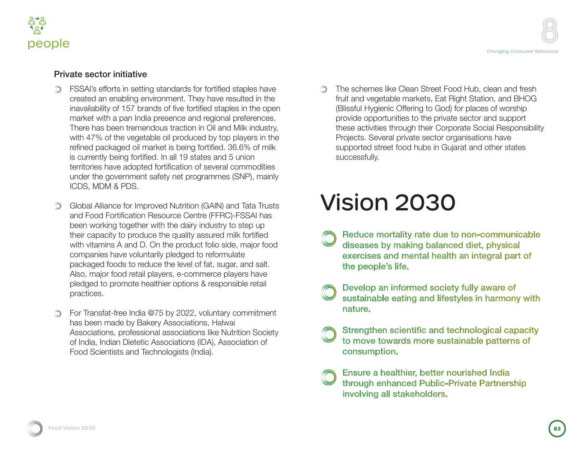

#### Private sector initiative

- FSSAI's efforts in setting standards for fortified staples have ∩ created an enabling environment. They have resulted in the inavailability of 157 brands of five fortified staples in the open market with a pan India presence and regional preferences. There has been tremendous traction in Oil and Milk industry, with 47% of the vegetable oil produced by top players in the refined packaged oil market is being fortified. 36.6% of milk is currently being fortified. In all 19 states and 5 union territories have adopted fortification of several commodities under the government safety net programmes (SNP), mainly ICDS, MDM & PDS.
- Global Alliance for Improved Nutrition (GAIN) and Tata Trusts ∩ and Food Fortification Resource Centre (FFRC)-FSSAI has been working together with the dairy industry to step up their capacity to produce the quality assured milk fortified with vitamins A and D. On the product folio side, major food companies have voluntarily pledged to reformulate packaged foods to reduce the level of fat, sugar, and salt. Also, major food retail players, e-commerce players have pledged to promote healthier options & responsible retail practices.
- For Transfat-free India @75 by 2022, voluntary commitment has been made by Bakery Associations, Halwai Associations, professional associations like Nutrition Society of India, Indian Dietetic Associations (IDA), Association of Food Scientists and Technologists (India).

The schemes like Clean Street Food Hub, clean and fresh ∩ fruit and vegetable markets, Eat Right Station, and BHOG (Blissful Hygienic Offering to God) for places of worship provide opportunities to the private sector and support these activities through their Corporate Social Responsibility Projects. Several private sector organisations have supported street food hubs in Gujarat and other states successfully.

# Vision 2030

- Reduce mortality rate due to non-communicable diseases by making balanced diet, physical exercises and mental health an integral part of the people's life.
- Develop an informed society fully aware of sustainable eating and lifestyles in harmony with nature.
- Strengthen scientific and technological capacity to move towards more sustainable patterns of consumption.
- Ensure a healthier, better nourished India through enhanced Public-Private Partnership involving all stakeholders.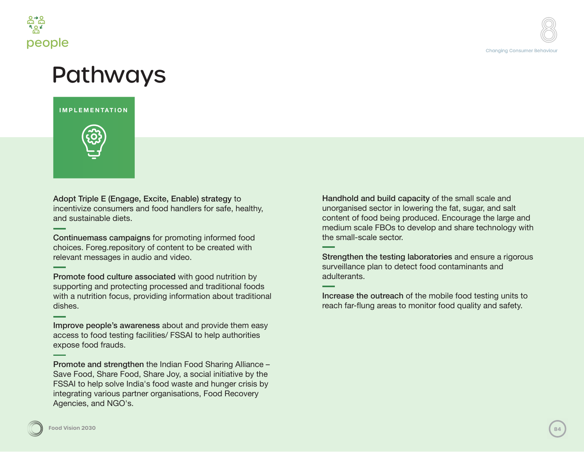

# Pathways

**IMPLEMENTATION**



Adopt Triple E (Engage, Excite, Enable) strategy to incentivize consumers and food handlers for safe, healthy, and sustainable diets.

Continuemass campaigns for promoting informed food choices. Foreg.repository of content to be created with relevant messages in audio and video.

Promote food culture associated with good nutrition by supporting and protecting processed and traditional foods with a nutrition focus, providing information about traditional dishes.

Improve people's awareness about and provide them easy access to food testing facilities/ FSSAI to help authorities expose food frauds.

Promote and strengthen the Indian Food Sharing Alliance – Save Food, Share Food, Share Joy, a social initiative by the FSSAI to help solve India's food waste and hunger crisis by integrating various partner organisations, Food Recovery Agencies, and NGO's.

Handhold and build capacity of the small scale and unorganised sector in lowering the fat, sugar, and salt content of food being produced. Encourage the large and medium scale FBOs to develop and share technology with the small-scale sector.

Strengthen the testing laboratories and ensure a rigorous surveillance plan to detect food contaminants and adulterants.

Increase the outreach of the mobile food testing units to reach far-flung areas to monitor food quality and safety.